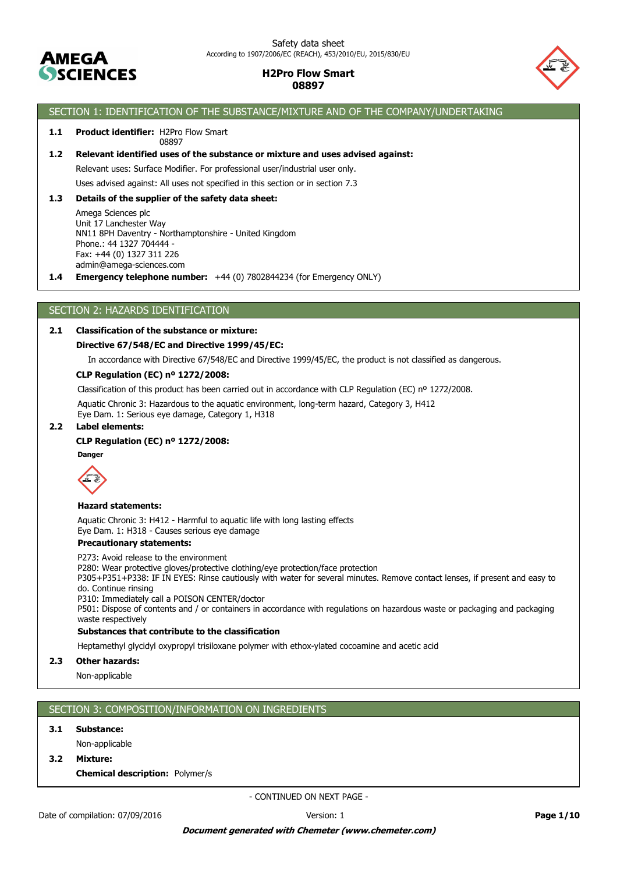



### SECTION 1: IDENTIFICATION OF THE SUBSTANCE/MIXTURE AND OF THE COMPANY/UNDERTAKING

#### 1.1 Product identifier: H2Pro Flow Smart 08897

### **1.2 Relevant identified uses of the substance or mixture and uses advised against:**

Relevant uses: Surface Modifier. For professional user/industrial user only.

Uses advised against: All uses not specified in this section or in section 7.3

### **1.3 Details of the supplier of the safety data sheet:**

Amega Sciences plc Unit 17 Lanchester Way NN11 8PH Daventry - Northamptonshire - United Kingdom Phone.: 44 1327 704444 - Fax: +44 (0) 1327 311 226 admin@amega-sciences.com

**1.4 Emergency telephone number:** +44 (0) 7802844234 (for Emergency ONLY)

### SECTION 2: HAZARDS IDENTIFICATION

### **2.1 Classification of the substance or mixture:**

### **Directive 67/548/EC and Directive 1999/45/EC:**

In accordance with Directive 67/548/EC and Directive 1999/45/EC, the product is not classified as dangerous.

### **CLP Regulation (EC) nº 1272/2008:**

Classification of this product has been carried out in accordance with CLP Regulation (EC) nº 1272/2008.

Aquatic Chronic 3: Hazardous to the aquatic environment, long-term hazard, Category 3, H412 Eye Dam. 1: Serious eye damage, Category 1, H318

### **2.2 Label elements:**

### **CLP Regulation (EC) nº 1272/2008:**

**Danger**



### **Hazard statements:**

Aquatic Chronic 3: H412 - Harmful to aquatic life with long lasting effects Eye Dam. 1: H318 - Causes serious eye damage

### **Precautionary statements:**

P273: Avoid release to the environment

P280: Wear protective gloves/protective clothing/eye protection/face protection

P305+P351+P338: IF IN EYES: Rinse cautiously with water for several minutes. Remove contact lenses, if present and easy to do. Continue rinsing

P310: Immediately call a POISON CENTER/doctor

P501: Dispose of contents and / or containers in accordance with regulations on hazardous waste or packaging and packaging waste respectively

### **Substances that contribute to the classification**

Heptamethyl glycidyl oxypropyl trisiloxane polymer with ethox-ylated cocoamine and acetic acid

**2.3 Other hazards:**

Non-applicable

### SECTION 3: COMPOSITION/INFORMATION ON INGREDIENTS

#### **3.1 Substance:**

- Non-applicable
- **3.2 Mixture:**

**Chemical description:** Polymer/s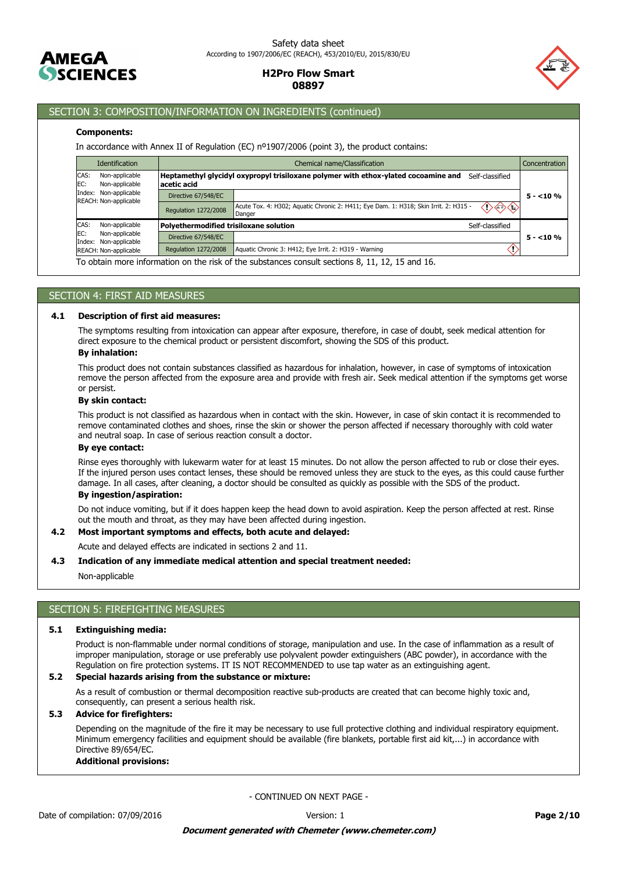



### SECTION 3: COMPOSITION/INFORMATION ON INGREDIENTS (continued)

### **Components:**

In accordance with Annex II of Regulation (EC) nº1907/2006 (point 3), the product contains:

| Chemical name/Classification<br>Concentration |                                                             |                                                                                                                                                                                                                      |
|-----------------------------------------------|-------------------------------------------------------------|----------------------------------------------------------------------------------------------------------------------------------------------------------------------------------------------------------------------|
| acetic acid                                   | Self-classified                                             |                                                                                                                                                                                                                      |
| Directive 67/548/EC                           |                                                             | $5 - 10%$                                                                                                                                                                                                            |
| Regulation 1272/2008                          | $\langle \rangle \langle \rangle \langle \rangle$<br>Danger |                                                                                                                                                                                                                      |
|                                               | Self-classified                                             |                                                                                                                                                                                                                      |
| Directive 67/548/EC                           |                                                             | $5 - 10\%$                                                                                                                                                                                                           |
| <b>Regulation 1272/2008</b>                   | Aquatic Chronic 3: H412; Eye Irrit. 2: H319 - Warning       |                                                                                                                                                                                                                      |
|                                               |                                                             | Heptamethyl glycidyl oxypropyl trisiloxane polymer with ethox-ylated cocoamine and<br>Acute Tox. 4: H302; Aquatic Chronic 2: H411; Eye Dam. 1: H318; Skin Irrit. 2: H315 -<br>Polyethermodified trisiloxane solution |

To obtain more information on the risk of the substances consult sections 8, 11, 12, 15 and 16.

### SECTION 4: FIRST AID MEASURES

#### **4.1 Description of first aid measures:**

The symptoms resulting from intoxication can appear after exposure, therefore, in case of doubt, seek medical attention for direct exposure to the chemical product or persistent discomfort, showing the SDS of this product.

# **By inhalation:**

This product does not contain substances classified as hazardous for inhalation, however, in case of symptoms of intoxication remove the person affected from the exposure area and provide with fresh air. Seek medical attention if the symptoms get worse or persist.

#### **By skin contact:**

This product is not classified as hazardous when in contact with the skin. However, in case of skin contact it is recommended to remove contaminated clothes and shoes, rinse the skin or shower the person affected if necessary thoroughly with cold water and neutral soap. In case of serious reaction consult a doctor.

### **By eye contact:**

Rinse eyes thoroughly with lukewarm water for at least 15 minutes. Do not allow the person affected to rub or close their eyes. If the injured person uses contact lenses, these should be removed unless they are stuck to the eyes, as this could cause further damage. In all cases, after cleaning, a doctor should be consulted as quickly as possible with the SDS of the product.

### **By ingestion/aspiration:**

Do not induce vomiting, but if it does happen keep the head down to avoid aspiration. Keep the person affected at rest. Rinse out the mouth and throat, as they may have been affected during ingestion.

### **4.2 Most important symptoms and effects, both acute and delayed:**

Acute and delayed effects are indicated in sections 2 and 11.

#### **4.3 Indication of any immediate medical attention and special treatment needed:**

Non-applicable

# SECTION 5: FIREFIGHTING MEASURES

### **5.1 Extinguishing media:**

Product is non-flammable under normal conditions of storage, manipulation and use. In the case of inflammation as a result of improper manipulation, storage or use preferably use polyvalent powder extinguishers (ABC powder), in accordance with the Regulation on fire protection systems. IT IS NOT RECOMMENDED to use tap water as an extinguishing agent.

### **5.2 Special hazards arising from the substance or mixture:**

As a result of combustion or thermal decomposition reactive sub-products are created that can become highly toxic and, consequently, can present a serious health risk.

### **5.3 Advice for firefighters:**

Depending on the magnitude of the fire it may be necessary to use full protective clothing and individual respiratory equipment. Minimum emergency facilities and equipment should be available (fire blankets, portable first aid kit,...) in accordance with Directive 89/654/EC.

### **Additional provisions:**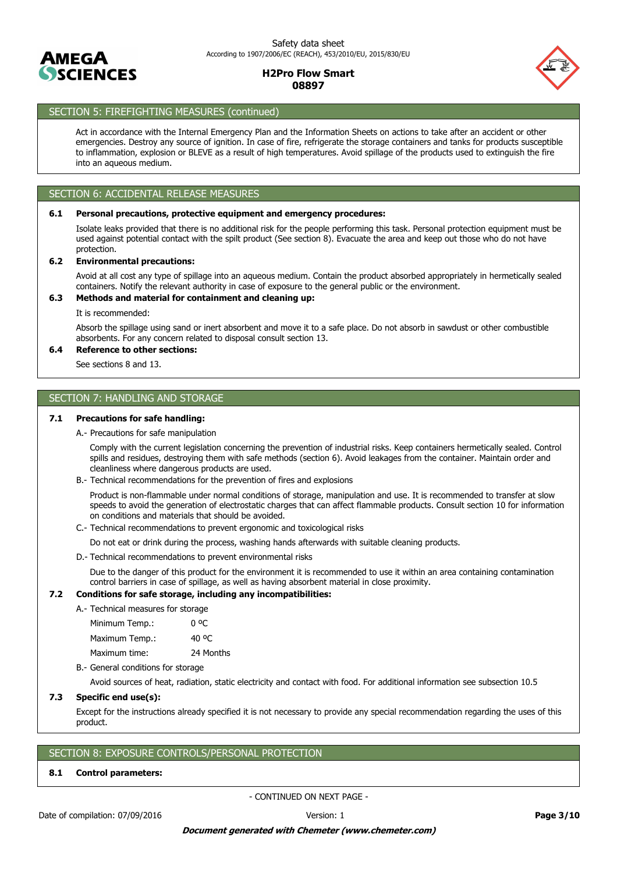



# SECTION 5: FIREFIGHTING MEASURES (continued)

Act in accordance with the Internal Emergency Plan and the Information Sheets on actions to take after an accident or other emergencies. Destroy any source of ignition. In case of fire, refrigerate the storage containers and tanks for products susceptible to inflammation, explosion or BLEVE as a result of high temperatures. Avoid spillage of the products used to extinguish the fire into an aqueous medium.

# SECTION 6: ACCIDENTAL RELEASE MEASURES

### **6.1 Personal precautions, protective equipment and emergency procedures:**

Isolate leaks provided that there is no additional risk for the people performing this task. Personal protection equipment must be used against potential contact with the spilt product (See section 8). Evacuate the area and keep out those who do not have protection.

### **6.2 Environmental precautions:**

Avoid at all cost any type of spillage into an aqueous medium. Contain the product absorbed appropriately in hermetically sealed containers. Notify the relevant authority in case of exposure to the general public or the environment.

### **6.3 Methods and material for containment and cleaning up:**

It is recommended:

Absorb the spillage using sand or inert absorbent and move it to a safe place. Do not absorb in sawdust or other combustible absorbents. For any concern related to disposal consult section 13.

### **6.4 Reference to other sections:**

See sections 8 and 13.

# SECTION 7: HANDLING AND STORAGE

### **7.1 Precautions for safe handling:**

A.- Precautions for safe manipulation

Comply with the current legislation concerning the prevention of industrial risks. Keep containers hermetically sealed. Control spills and residues, destroying them with safe methods (section 6). Avoid leakages from the container. Maintain order and cleanliness where dangerous products are used.

B.- Technical recommendations for the prevention of fires and explosions

Product is non-flammable under normal conditions of storage, manipulation and use. It is recommended to transfer at slow speeds to avoid the generation of electrostatic charges that can affect flammable products. Consult section 10 for information on conditions and materials that should be avoided.

C.- Technical recommendations to prevent ergonomic and toxicological risks

Do not eat or drink during the process, washing hands afterwards with suitable cleaning products.

D.- Technical recommendations to prevent environmental risks

Due to the danger of this product for the environment it is recommended to use it within an area containing contamination control barriers in case of spillage, as well as having absorbent material in close proximity.

### **7.2 Conditions for safe storage, including any incompatibilities:**

A.- Technical measures for storage

| Minimum Temp.: |           |
|----------------|-----------|
| Maximum Temp.: | 40 °C     |
| Maximum time:  | 24 Months |

B.- General conditions for storage

Avoid sources of heat, radiation, static electricity and contact with food. For additional information see subsection 10.5

### **7.3 Specific end use(s):**

Except for the instructions already specified it is not necessary to provide any special recommendation regarding the uses of this product.

### SECTION 8: EXPOSURE CONTROLS/PERSONAL PROTECTION

#### **8.1 Control parameters:**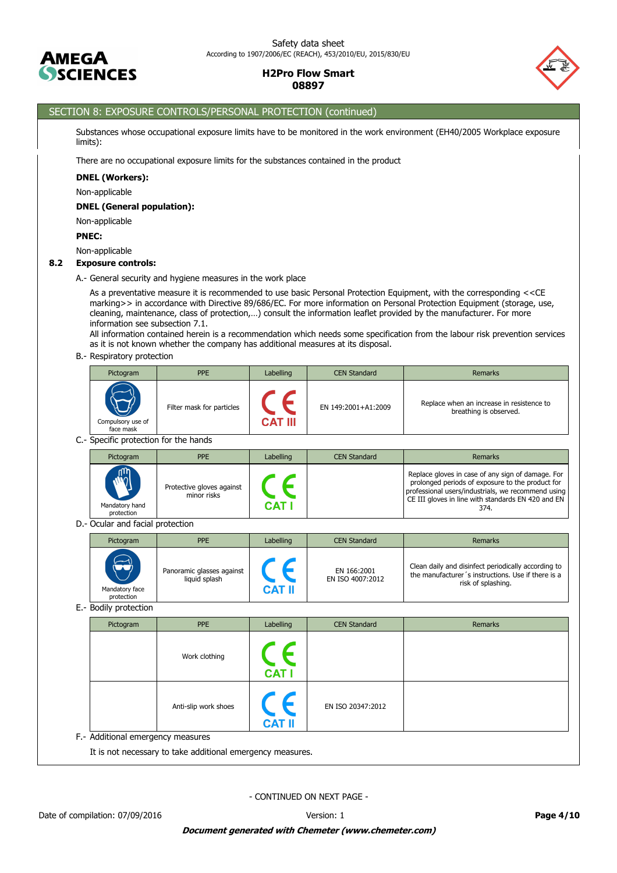



# SECTION 8: EXPOSURE CONTROLS/PERSONAL PROTECTION (continued)

Substances whose occupational exposure limits have to be monitored in the work environment (EH40/2005 Workplace exposure limits):

There are no occupational exposure limits for the substances contained in the product

#### **DNEL (Workers):**

Non-applicable

### **DNEL (General population):**

Non-applicable

### **PNEC:**

Non-applicable

### **8.2 Exposure controls:**

A.- General security and hygiene measures in the work place

As a preventative measure it is recommended to use basic Personal Protection Equipment, with the corresponding <<CE marking>> in accordance with Directive 89/686/EC. For more information on Personal Protection Equipment (storage, use, cleaning, maintenance, class of protection,…) consult the information leaflet provided by the manufacturer. For more information see subsection 7.1.

All information contained herein is a recommendation which needs some specification from the labour risk prevention services as it is not known whether the company has additional measures at its disposal.

### B.- Respiratory protection

| Pictogram                      | <b>PPE</b>                | Labelling      | <b>CEN Standard</b> | Remarks                                                             |
|--------------------------------|---------------------------|----------------|---------------------|---------------------------------------------------------------------|
| Compulsory use of<br>face mask | Filter mask for particles | <b>CAT III</b> | EN 149:2001+A1:2009 | Replace when an increase in resistence to<br>breathing is observed. |

C.- Specific protection for the hands

| Pictogram                    | <b>PPE</b>                               | Labelling | <b>CEN Standard</b> | Remarks                                                                                                                                                                                                                   |
|------------------------------|------------------------------------------|-----------|---------------------|---------------------------------------------------------------------------------------------------------------------------------------------------------------------------------------------------------------------------|
| Mandatory hand<br>protection | Protective gloves against<br>minor risks | CAT       |                     | Replace gloves in case of any sign of damage. For<br>prolonged periods of exposure to the product for<br>professional users/industrials, we recommend using<br>CE III gloves in line with standards EN 420 and EN<br>374. |

D.- Ocular and facial protection

| Pictogram                                 | <b>PPE</b>                                 | Labelling | <b>CEN Standard</b>             | <b>Remarks</b>                                                                                                                  |
|-------------------------------------------|--------------------------------------------|-----------|---------------------------------|---------------------------------------------------------------------------------------------------------------------------------|
| <b>UD</b><br>Mandatory face<br>protection | Panoramic glasses against<br>liquid splash | CAT II    | EN 166:2001<br>EN ISO 4007:2012 | Clean daily and disinfect periodically according to<br>the manufacturer's instructions. Use if there is a<br>risk of splashing. |

E.- Bodily protection

| Pictogram                         | <b>PPE</b>           | Labelling                | <b>CEN Standard</b> | Remarks |
|-----------------------------------|----------------------|--------------------------|---------------------|---------|
|                                   | Work clothing        | <b>CAT I</b>             |                     |         |
|                                   | Anti-slip work shoes | $C \in$<br><b>CAT II</b> | EN ISO 20347:2012   |         |
| F.- Additional emergency measures |                      |                          |                     |         |

It is not necessary to take additional emergency measures.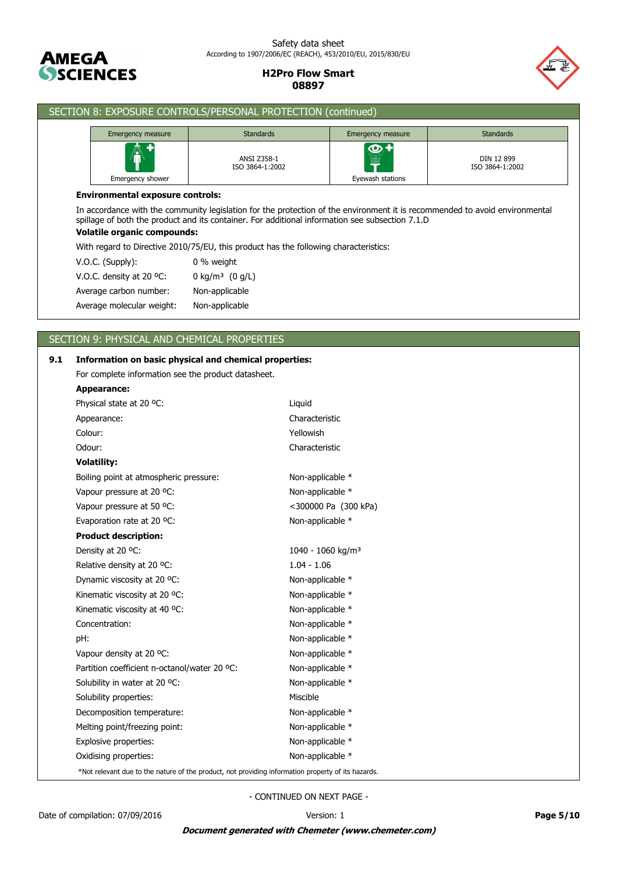

### Safety data sheet According to 1907/2006/EC (REACH), 453/2010/EU, 2015/830/EU

**H2Pro Flow Smart 08897**



| Emergency measure                       | <b>Standards</b>                                                                                                                                                                                                               | Emergency measure | <b>Standards</b>              |
|-----------------------------------------|--------------------------------------------------------------------------------------------------------------------------------------------------------------------------------------------------------------------------------|-------------------|-------------------------------|
| Emergency shower                        | <b>ANSI Z358-1</b><br>ISO 3864-1:2002                                                                                                                                                                                          | Eyewash stations  | DIN 12 899<br>ISO 3864-1:2002 |
| <b>Environmental exposure controls:</b> |                                                                                                                                                                                                                                |                   |                               |
|                                         | In accordance with the community legislation for the protection of the environment it is recommended to avoid environmental<br>spillage of both the product and its container. For additional information see subsection 7.1.D |                   |                               |
| <b>Volatile organic compounds:</b>      | With regard to Directive 2010/75/EU, this product has the following characteristics:                                                                                                                                           |                   |                               |
| $V.O.C.$ (Supply):                      | 0 % weight                                                                                                                                                                                                                     |                   |                               |
| V.O.C. density at 20 $^{\circ}$ C:      | 0 kg/m <sup>3</sup> $(0 g/L)$                                                                                                                                                                                                  |                   |                               |
| Average carbon number:                  | Non-applicable                                                                                                                                                                                                                 |                   |                               |

# SECTION 9: PHYSICAL AND CHEMICAL PROPERTIES

SECTION 8: EXPOSURE CONTROLS/PERSONAL PROTECTION (continued)

| 9.1 | Information on basic physical and chemical properties:                                             |                               |
|-----|----------------------------------------------------------------------------------------------------|-------------------------------|
|     | For complete information see the product datasheet.                                                |                               |
|     | Appearance:                                                                                        |                               |
|     | Physical state at 20 °C:                                                                           | Liquid                        |
|     | Appearance:                                                                                        | Characteristic                |
|     | Colour:                                                                                            | Yellowish                     |
|     | Odour:                                                                                             | Characteristic                |
|     | <b>Volatility:</b>                                                                                 |                               |
|     | Boiling point at atmospheric pressure:                                                             | Non-applicable *              |
|     | Vapour pressure at 20 °C:                                                                          | Non-applicable *              |
|     | Vapour pressure at 50 °C:                                                                          | <300000 Pa (300 kPa)          |
|     | Evaporation rate at 20 °C:                                                                         | Non-applicable *              |
|     | <b>Product description:</b>                                                                        |                               |
|     | Density at 20 °C:                                                                                  | 1040 - 1060 kg/m <sup>3</sup> |
|     | Relative density at 20 °C:                                                                         | $1.04 - 1.06$                 |
|     | Dynamic viscosity at 20 °C:                                                                        | Non-applicable *              |
|     | Kinematic viscosity at 20 °C:                                                                      | Non-applicable *              |
|     | Kinematic viscosity at 40 °C:                                                                      | Non-applicable *              |
|     | Concentration:                                                                                     | Non-applicable *              |
|     | pH:                                                                                                | Non-applicable *              |
|     | Vapour density at 20 °C:                                                                           | Non-applicable *              |
|     | Partition coefficient n-octanol/water 20 °C:                                                       | Non-applicable *              |
|     | Solubility in water at 20 °C:                                                                      | Non-applicable *              |
|     | Solubility properties:                                                                             | Miscible                      |
|     | Decomposition temperature:                                                                         | Non-applicable *              |
|     | Melting point/freezing point:                                                                      | Non-applicable *              |
|     | Explosive properties:                                                                              | Non-applicable *              |
|     | Oxidising properties:                                                                              | Non-applicable *              |
|     | *Not relevant due to the nature of the product, not providing information property of its hazards. |                               |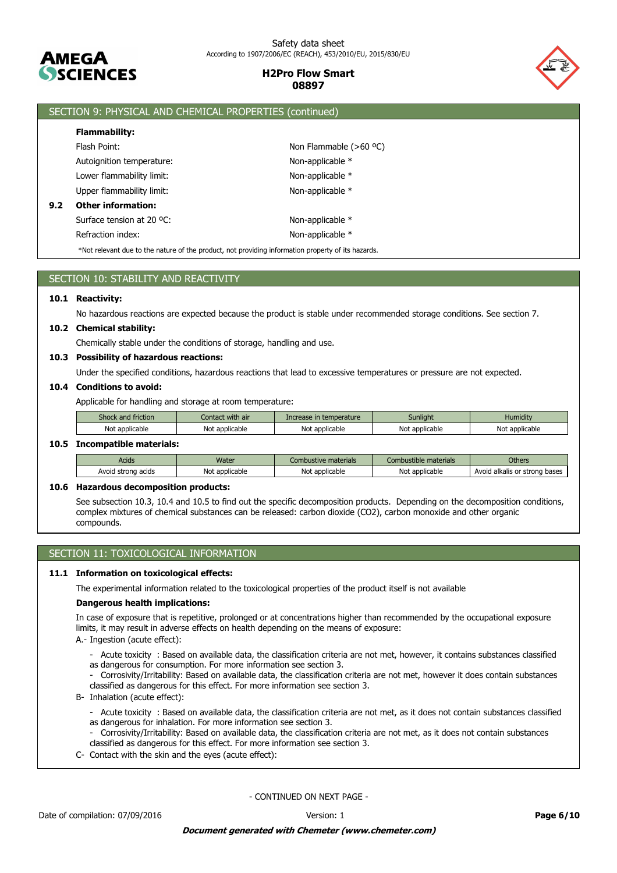

### Safety data sheet According to 1907/2006/EC (REACH), 453/2010/EU, 2015/830/EU

### **H2Pro Flow Smart 08897**



|     | SECTION 9: PHYSICAL AND CHEMICAL PROPERTIES (continued)                                            |                          |  |  |
|-----|----------------------------------------------------------------------------------------------------|--------------------------|--|--|
|     | <b>Flammability:</b>                                                                               |                          |  |  |
|     | Flash Point:                                                                                       | Non Flammable $(>60 °C)$ |  |  |
|     | Autoignition temperature:                                                                          | Non-applicable *         |  |  |
|     | Lower flammability limit:                                                                          | Non-applicable *         |  |  |
|     | Upper flammability limit:                                                                          | Non-applicable *         |  |  |
| 9.2 | <b>Other information:</b><br>Surface tension at 20 °C:<br>Non-applicable *                         |                          |  |  |
|     |                                                                                                    |                          |  |  |
|     | Refraction index:                                                                                  | Non-applicable *         |  |  |
|     | *Not relevant due to the nature of the product, not providing information property of its hazards. |                          |  |  |

| SECTION 10: STABILITY AND REACTIVITY                                                                                   |
|------------------------------------------------------------------------------------------------------------------------|
| 10.1 Reactivity:                                                                                                       |
| No hazardous reactions are expected because the product is stable under recommended storage conditions. See section 7. |
| 10.2 Chemical stability:                                                                                               |

Chemically stable under the conditions of storage, handling and use.

### **10.3 Possibility of hazardous reactions:**

Under the specified conditions, hazardous reactions that lead to excessive temperatures or pressure are not expected.

### **10.4 Conditions to avoid:**

Applicable for handling and storage at room temperature:

| $\sim$<br>ITICLIOII | with air     | <b>Properature</b> | Sunliaht     | .<br>Humidity |
|---------------------|--------------|--------------------|--------------|---------------|
| Not                 | Νo           | No                 | Not          | Not           |
| : applicable        | : applicable | : applicable       | : applicable | `applicable`  |

#### **10.5 Incompatible materials:**

| <b>Acids</b>             | Water               | Combustive materials | Combustible materials | Others                                  |
|--------------------------|---------------------|----------------------|-----------------------|-----------------------------------------|
| acids<br>Avoid<br>strona | : applicable<br>Not | Not applicable       | : applicable<br>Not   | , bases<br>l alkalis or strong<br>Avoic |

### **10.6 Hazardous decomposition products:**

See subsection 10.3, 10.4 and 10.5 to find out the specific decomposition products. Depending on the decomposition conditions, complex mixtures of chemical substances can be released: carbon dioxide (CO2), carbon monoxide and other organic compounds.

# SECTION 11: TOXICOLOGICAL INFORMATION

### **11.1 Information on toxicological effects:**

The experimental information related to the toxicological properties of the product itself is not available

### **Dangerous health implications:**

In case of exposure that is repetitive, prolonged or at concentrations higher than recommended by the occupational exposure limits, it may result in adverse effects on health depending on the means of exposure:

- A.- Ingestion (acute effect):
	- Acute toxicity : Based on available data, the classification criteria are not met, however, it contains substances classified as dangerous for consumption. For more information see section 3.
	- Corrosivity/Irritability: Based on available data, the classification criteria are not met, however it does contain substances classified as dangerous for this effect. For more information see section 3.
- B- Inhalation (acute effect):
	- Acute toxicity : Based on available data, the classification criteria are not met, as it does not contain substances classified as dangerous for inhalation. For more information see section 3.
	- Corrosivity/Irritability: Based on available data, the classification criteria are not met, as it does not contain substances classified as dangerous for this effect. For more information see section 3.
- C- Contact with the skin and the eyes (acute effect):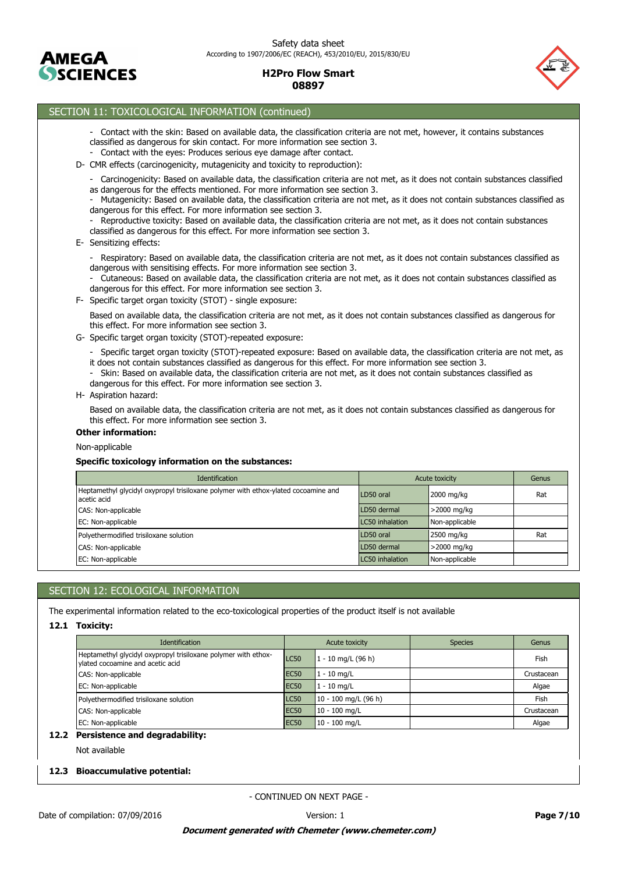



### SECTION 11: TOXICOLOGICAL INFORMATION (continued)

- Contact with the skin: Based on available data, the classification criteria are not met, however, it contains substances classified as dangerous for skin contact. For more information see section 3.
- Contact with the eyes: Produces serious eye damage after contact.
- D- CMR effects (carcinogenicity, mutagenicity and toxicity to reproduction):
	- Carcinogenicity: Based on available data, the classification criteria are not met, as it does not contain substances classified as dangerous for the effects mentioned. For more information see section 3.
	- Mutagenicity: Based on available data, the classification criteria are not met, as it does not contain substances classified as dangerous for this effect. For more information see section 3.
	- Reproductive toxicity: Based on available data, the classification criteria are not met, as it does not contain substances classified as dangerous for this effect. For more information see section 3.

### E- Sensitizing effects:

- Respiratory: Based on available data, the classification criteria are not met, as it does not contain substances classified as dangerous with sensitising effects. For more information see section 3.
- Cutaneous: Based on available data, the classification criteria are not met, as it does not contain substances classified as dangerous for this effect. For more information see section 3.
- F- Specific target organ toxicity (STOT) single exposure:

Based on available data, the classification criteria are not met, as it does not contain substances classified as dangerous for this effect. For more information see section 3.

- G- Specific target organ toxicity (STOT)-repeated exposure:
	- Specific target organ toxicity (STOT)-repeated exposure: Based on available data, the classification criteria are not met, as it does not contain substances classified as dangerous for this effect. For more information see section 3.
	- Skin: Based on available data, the classification criteria are not met, as it does not contain substances classified as dangerous for this effect. For more information see section 3.
- H- Aspiration hazard:

Based on available data, the classification criteria are not met, as it does not contain substances classified as dangerous for this effect. For more information see section 3.

#### **Other information:**

### Non-applicable

#### **Specific toxicology information on the substances:**

| <b>Identification</b>                                                                             |                 | Acute toxicity | Genus |
|---------------------------------------------------------------------------------------------------|-----------------|----------------|-------|
| Heptamethyl glycidyl oxypropyl trisiloxane polymer with ethox-ylated cocoamine and<br>acetic acid | LD50 oral       | 2000 mg/kg     | Rat   |
| CAS: Non-applicable                                                                               | LD50 dermal     | $>$ 2000 mg/kg |       |
| EC: Non-applicable                                                                                | LC50 inhalation | Non-applicable |       |
| Polyethermodified trisiloxane solution                                                            | LD50 oral       | 2500 mg/kg     | Rat   |
| CAS: Non-applicable                                                                               | LD50 dermal     | >2000 mg/kg    |       |
| EC: Non-applicable                                                                                | LC50 inhalation | Non-applicable |       |

### SECTION 12: ECOLOGICAL INFORMATION

The experimental information related to the eco-toxicological properties of the product itself is not available

### **12.1 Toxicity:**

| <b>Identification</b>                                                                              |             | Acute toxicity         | <b>Species</b> | Genus      |
|----------------------------------------------------------------------------------------------------|-------------|------------------------|----------------|------------|
| Heptamethyl glycidyl oxypropyl trisiloxane polymer with ethox-<br>vlated cocoamine and acetic acid | LC50        | $1 - 10$ mg/L (96 h)   |                | Fish       |
| CAS: Non-applicable                                                                                | <b>EC50</b> | $1 - 10$ mg/L          |                | Crustacean |
| EC: Non-applicable                                                                                 | <b>EC50</b> | $1 - 10$ mg/L          |                | Algae      |
| Polyethermodified trisiloxane solution                                                             | <b>LC50</b> | $10 - 100$ mg/L (96 h) |                | Fish       |
| CAS: Non-applicable                                                                                | <b>EC50</b> | $10 - 100$ mg/L        |                | Crustacean |
| EC: Non-applicable                                                                                 | <b>EC50</b> | $10 - 100$ mg/L        |                | Algae      |

#### **12.2 Persistence and degradability:**

Not available

### **12.3 Bioaccumulative potential:**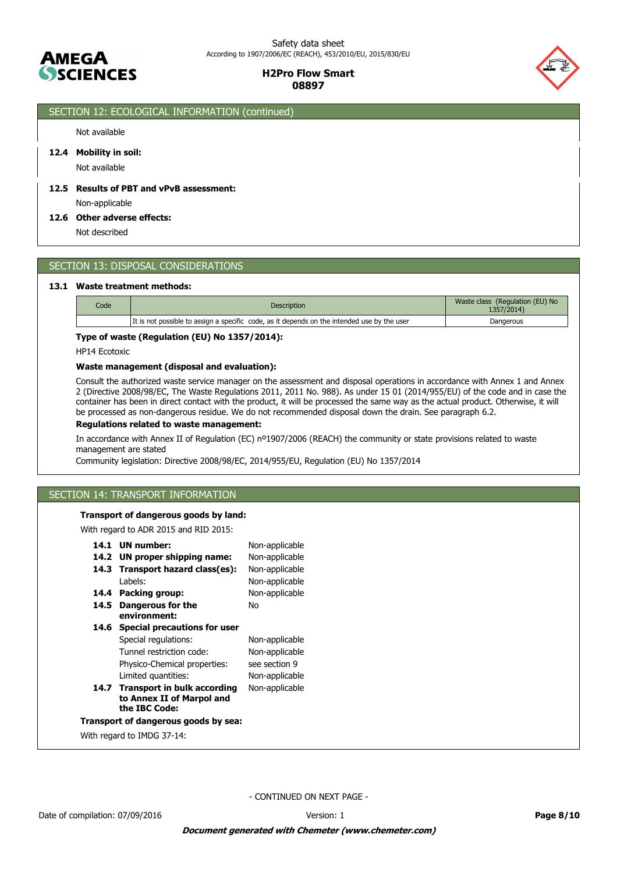



# SECTION 12: ECOLOGICAL INFORMATION (continued)

### Not available

### **12.4 Mobility in soil:**

Not available

# **12.5 Results of PBT and vPvB assessment:**

Non-applicable

#### **12.6 Other adverse effects:**

Not described

### SECTION 13: DISPOSAL CONSIDERATIONS

#### **13.1 Waste treatment methods:**

| Code | <b>Description</b>                                                                          | Waste class (Regulation (EU) No<br>1357/2014) |
|------|---------------------------------------------------------------------------------------------|-----------------------------------------------|
|      | It is not possible to assign a specific code, as it depends on the intended use by the user | Dangerous                                     |

### **Type of waste (Regulation (EU) No 1357/2014):**

HP14 Ecotoxic

### **Waste management (disposal and evaluation):**

Consult the authorized waste service manager on the assessment and disposal operations in accordance with Annex 1 and Annex 2 (Directive 2008/98/EC, The Waste Regulations 2011, 2011 No. 988). As under 15 01 (2014/955/EU) of the code and in case the container has been in direct contact with the product, it will be processed the same way as the actual product. Otherwise, it will be processed as non-dangerous residue. We do not recommended disposal down the drain. See paragraph 6.2.

### **Regulations related to waste management:**

In accordance with Annex II of Regulation (EC) nº1907/2006 (REACH) the community or state provisions related to waste management are stated

Community legislation: Directive 2008/98/EC, 2014/955/EU, Regulation (EU) No 1357/2014

# SECTION 14: TRANSPORT INFORMATION

### **Transport of dangerous goods by land:**

With regard to ADR 2015 and RID 2015:

| 14.1 | <b>UN</b> number:                                                              | Non-applicable |
|------|--------------------------------------------------------------------------------|----------------|
| 14.2 | UN proper shipping name:                                                       | Non-applicable |
| 14.3 | Transport hazard class(es):                                                    | Non-applicable |
|      | Labels:                                                                        | Non-applicable |
| 14.4 | Packing group:                                                                 | Non-applicable |
| 14.5 | Dangerous for the<br>environment:                                              | Nο             |
|      |                                                                                |                |
| 14.6 | <b>Special precautions for user</b>                                            |                |
|      | Special regulations:                                                           | Non-applicable |
|      | Tunnel restriction code:                                                       | Non-applicable |
|      | Physico-Chemical properties:                                                   | see section 9  |
|      | Limited quantities:                                                            | Non-applicable |
|      | 14.7 Transport in bulk according<br>to Annex II of Marpol and<br>the IBC Code: | Non-applicable |
|      |                                                                                |                |
|      | Transport of dangerous goods by sea:                                           |                |
|      | With regard to IMDG 37-14:                                                     |                |
|      |                                                                                |                |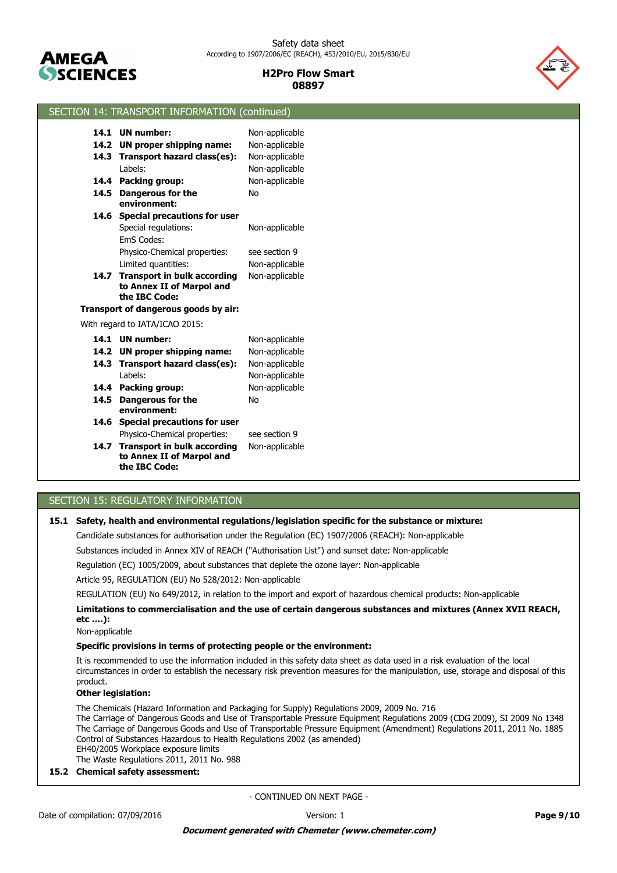



### SECTION 14: TRANSPORT INFORMATION (continued)

|      | 14.1 UN number:                      | Non-applicable |
|------|--------------------------------------|----------------|
| 14.2 | UN proper shipping name:             | Non-applicable |
| 14.3 | Transport hazard class(es):          | Non-applicable |
|      | Labels:                              | Non-applicable |
| 14.4 | Packing group:                       | Non-applicable |
| 14.5 | <b>Dangerous for the</b>             | No             |
|      | environment:                         |                |
| 14.6 | <b>Special precautions for user</b>  |                |
|      | Special regulations:                 | Non-applicable |
|      | <b>FmS Codes:</b>                    |                |
|      | Physico-Chemical properties:         | see section 9  |
|      | Limited quantities:                  | Non-applicable |
| 14.7 | <b>Transport in bulk according</b>   | Non-applicable |
|      | to Annex II of Marpol and            |                |
|      | the IBC Code:                        |                |
|      | Transport of dangerous goods by air: |                |
|      | With regard to IATA/ICAO 2015:       |                |
| 14.1 | <b>UN</b> number:                    | Non-applicable |
|      | 14.2 UN proper shipping name:        | Non-applicable |
| 14.3 |                                      |                |
|      | Transport hazard class(es):          | Non-applicable |
|      | Labels:                              | Non-applicable |
| 14.4 | Packing group:                       | Non-applicable |
| 14.5 | <b>Dangerous for the</b>             | No             |
|      | environment:                         |                |
| 14.6 | <b>Special precautions for user</b>  |                |
|      | Physico-Chemical properties:         | see section 9  |
| 14.7 | <b>Transport in bulk according</b>   | Non-applicable |
|      | to Annex II of Marpol and            |                |
|      | the IBC Code:                        |                |

# SECTION 15: REGULATORY INFORMATION

### **15.1 Safety, health and environmental regulations/legislation specific for the substance or mixture:**

Candidate substances for authorisation under the Regulation (EC) 1907/2006 (REACH): Non-applicable

Substances included in Annex XIV of REACH ("Authorisation List") and sunset date: Non-applicable

Regulation (EC) 1005/2009, about substances that deplete the ozone layer: Non-applicable

Article 95, REGULATION (EU) No 528/2012: Non-applicable

REGULATION (EU) No 649/2012, in relation to the import and export of hazardous chemical products: Non-applicable

**Limitations to commercialisation and the use of certain dangerous substances and mixtures (Annex XVII REACH, etc ….):**

Non-applicable

### **Specific provisions in terms of protecting people or the environment:**

It is recommended to use the information included in this safety data sheet as data used in a risk evaluation of the local circumstances in order to establish the necessary risk prevention measures for the manipulation, use, storage and disposal of this product.

### **Other legislation:**

The Chemicals (Hazard Information and Packaging for Supply) Regulations 2009, 2009 No. 716 The Carriage of Dangerous Goods and Use of Transportable Pressure Equipment Regulations 2009 (CDG 2009), SI 2009 No 1348 The Carriage of Dangerous Goods and Use of Transportable Pressure Equipment (Amendment) Regulations 2011, 2011 No. 1885 Control of Substances Hazardous to Health Regulations 2002 (as amended) EH40/2005 Workplace exposure limits

The Waste Regulations 2011, 2011 No. 988

### **15.2 Chemical safety assessment:**